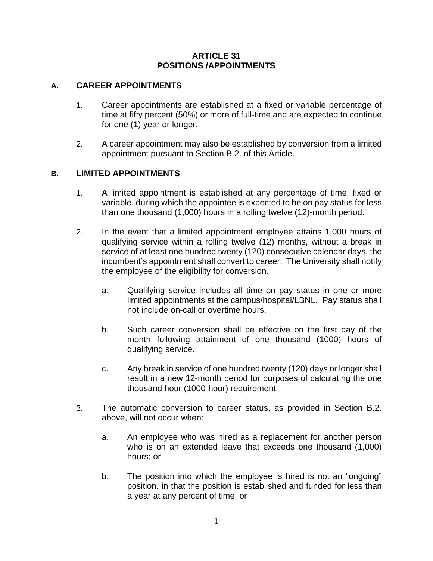### **ARTICLE 31 POSITIONS /APPOINTMENTS**

### **A. CAREER APPOINTMENTS**

- 1. Career appointments are established at a fixed or variable percentage of time at fifty percent (50%) or more of full-time and are expected to continue for one (1) year or longer.
- 2. A career appointment may also be established by conversion from a limited appointment pursuant to Section B.2. of this Article.

# **B. LIMITED APPOINTMENTS**

- 1. A limited appointment is established at any percentage of time, fixed or variable, during which the appointee is expected to be on pay status for less than one thousand (1,000) hours in a rolling twelve (12)-month period.
- 2. In the event that a limited appointment employee attains 1,000 hours of qualifying service within a rolling twelve (12) months, without a break in service of at least one hundred twenty (120) consecutive calendar days, the incumbent's appointment shall convert to career. The University shall notify the employee of the eligibility for conversion.
	- a. Qualifying service includes all time on pay status in one or more limited appointments at the campus/hospital/LBNL. Pay status shall not include on-call or overtime hours.
	- b. Such career conversion shall be effective on the first day of the month following attainment of one thousand (1000) hours of qualifying service.
	- c. Any break in service of one hundred twenty (120) days or longer shall result in a new 12-month period for purposes of calculating the one thousand hour (1000-hour) requirement.
- 3. The automatic conversion to career status, as provided in Section B.2. above, will not occur when:
	- a. An employee who was hired as a replacement for another person who is on an extended leave that exceeds one thousand (1,000) hours; or
	- b. The position into which the employee is hired is not an "ongoing" position, in that the position is established and funded for less than a year at any percent of time, or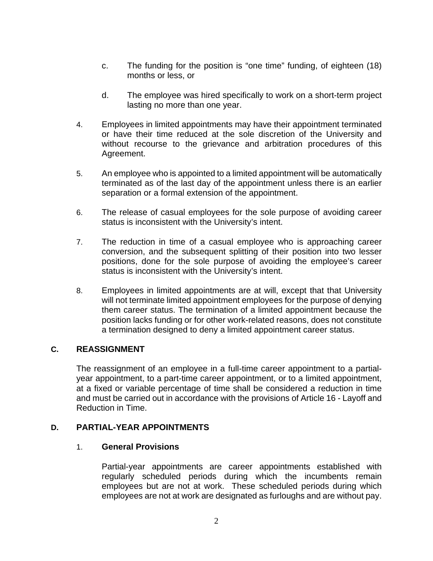- c. The funding for the position is "one time" funding, of eighteen (18) months or less, or
- d. The employee was hired specifically to work on a short-term project lasting no more than one year.
- 4. Employees in limited appointments may have their appointment terminated or have their time reduced at the sole discretion of the University and without recourse to the grievance and arbitration procedures of this Agreement.
- 5. An employee who is appointed to a limited appointment will be automatically terminated as of the last day of the appointment unless there is an earlier separation or a formal extension of the appointment.
- 6. The release of casual employees for the sole purpose of avoiding career status is inconsistent with the University's intent.
- 7. The reduction in time of a casual employee who is approaching career conversion, and the subsequent splitting of their position into two lesser positions, done for the sole purpose of avoiding the employee's career status is inconsistent with the University's intent.
- 8. Employees in limited appointments are at will, except that that University will not terminate limited appointment employees for the purpose of denying them career status. The termination of a limited appointment because the position lacks funding or for other work-related reasons, does not constitute a termination designed to deny a limited appointment career status.

### **C. REASSIGNMENT**

The reassignment of an employee in a full-time career appointment to a partialyear appointment, to a part-time career appointment, or to a limited appointment, at a fixed or variable percentage of time shall be considered a reduction in time and must be carried out in accordance with the provisions of Article 16 - Layoff and Reduction in Time.

### **D. PARTIAL-YEAR APPOINTMENTS**

### 1. **General Provisions**

Partial-year appointments are career appointments established with regularly scheduled periods during which the incumbents remain employees but are not at work. These scheduled periods during which employees are not at work are designated as furloughs and are without pay.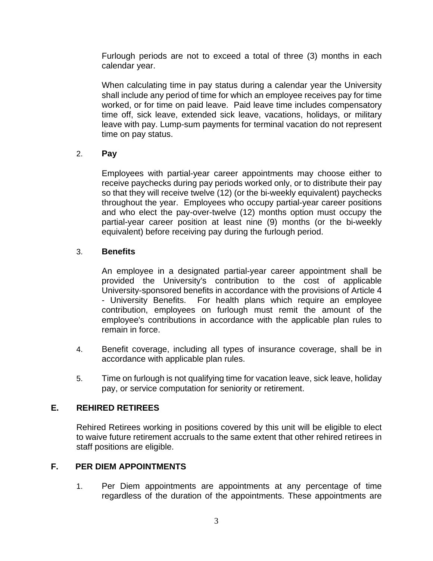Furlough periods are not to exceed a total of three (3) months in each calendar year.

When calculating time in pay status during a calendar year the University shall include any period of time for which an employee receives pay for time worked, or for time on paid leave. Paid leave time includes compensatory time off, sick leave, extended sick leave, vacations, holidays, or military leave with pay. Lump-sum payments for terminal vacation do not represent time on pay status.

# 2. **Pay**

Employees with partial-year career appointments may choose either to receive paychecks during pay periods worked only, or to distribute their pay so that they will receive twelve (12) (or the bi-weekly equivalent) paychecks throughout the year. Employees who occupy partial-year career positions and who elect the pay-over-twelve (12) months option must occupy the partial-year career position at least nine (9) months (or the bi-weekly equivalent) before receiving pay during the furlough period.

# 3. **Benefits**

An employee in a designated partial-year career appointment shall be provided the University's contribution to the cost of applicable University-sponsored benefits in accordance with the provisions of Article 4 - University Benefits. For health plans which require an employee contribution, employees on furlough must remit the amount of the employee's contributions in accordance with the applicable plan rules to remain in force.

- 4. Benefit coverage, including all types of insurance coverage, shall be in accordance with applicable plan rules.
- 5. Time on furlough is not qualifying time for vacation leave, sick leave, holiday pay, or service computation for seniority or retirement.

### **E. REHIRED RETIREES**

Rehired Retirees working in positions covered by this unit will be eligible to elect to waive future retirement accruals to the same extent that other rehired retirees in staff positions are eligible.

### **F. PER DIEM APPOINTMENTS**

1. Per Diem appointments are appointments at any percentage of time regardless of the duration of the appointments. These appointments are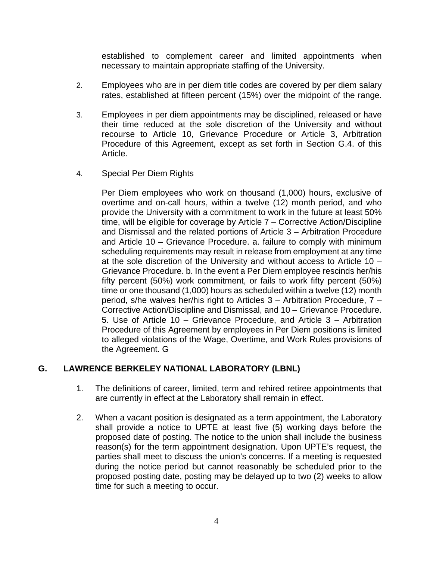established to complement career and limited appointments when necessary to maintain appropriate staffing of the University.

- 2. Employees who are in per diem title codes are covered by per diem salary rates, established at fifteen percent (15%) over the midpoint of the range.
- 3. Employees in per diem appointments may be disciplined, released or have their time reduced at the sole discretion of the University and without recourse to Article 10, Grievance Procedure or Article 3, Arbitration Procedure of this Agreement, except as set forth in Section G.4. of this Article.
- 4. Special Per Diem Rights

Per Diem employees who work on thousand (1,000) hours, exclusive of overtime and on-call hours, within a twelve (12) month period, and who provide the University with a commitment to work in the future at least 50% time, will be eligible for coverage by Article 7 – Corrective Action/Discipline and Dismissal and the related portions of Article 3 – Arbitration Procedure and Article 10 – Grievance Procedure. a. failure to comply with minimum scheduling requirements may result in release from employment at any time at the sole discretion of the University and without access to Article 10 – Grievance Procedure. b. In the event a Per Diem employee rescinds her/his fifty percent (50%) work commitment, or fails to work fifty percent (50%) time or one thousand (1,000) hours as scheduled within a twelve (12) month period, s/he waives her/his right to Articles 3 – Arbitration Procedure, 7 – Corrective Action/Discipline and Dismissal, and 10 – Grievance Procedure. 5. Use of Article 10 – Grievance Procedure, and Article 3 – Arbitration Procedure of this Agreement by employees in Per Diem positions is limited to alleged violations of the Wage, Overtime, and Work Rules provisions of the Agreement. G

### **G. LAWRENCE BERKELEY NATIONAL LABORATORY (LBNL)**

- 1. The definitions of career, limited, term and rehired retiree appointments that are currently in effect at the Laboratory shall remain in effect.
- 2. When a vacant position is designated as a term appointment, the Laboratory shall provide a notice to UPTE at least five (5) working days before the proposed date of posting. The notice to the union shall include the business reason(s) for the term appointment designation. Upon UPTE's request, the parties shall meet to discuss the union's concerns. If a meeting is requested during the notice period but cannot reasonably be scheduled prior to the proposed posting date, posting may be delayed up to two (2) weeks to allow time for such a meeting to occur.